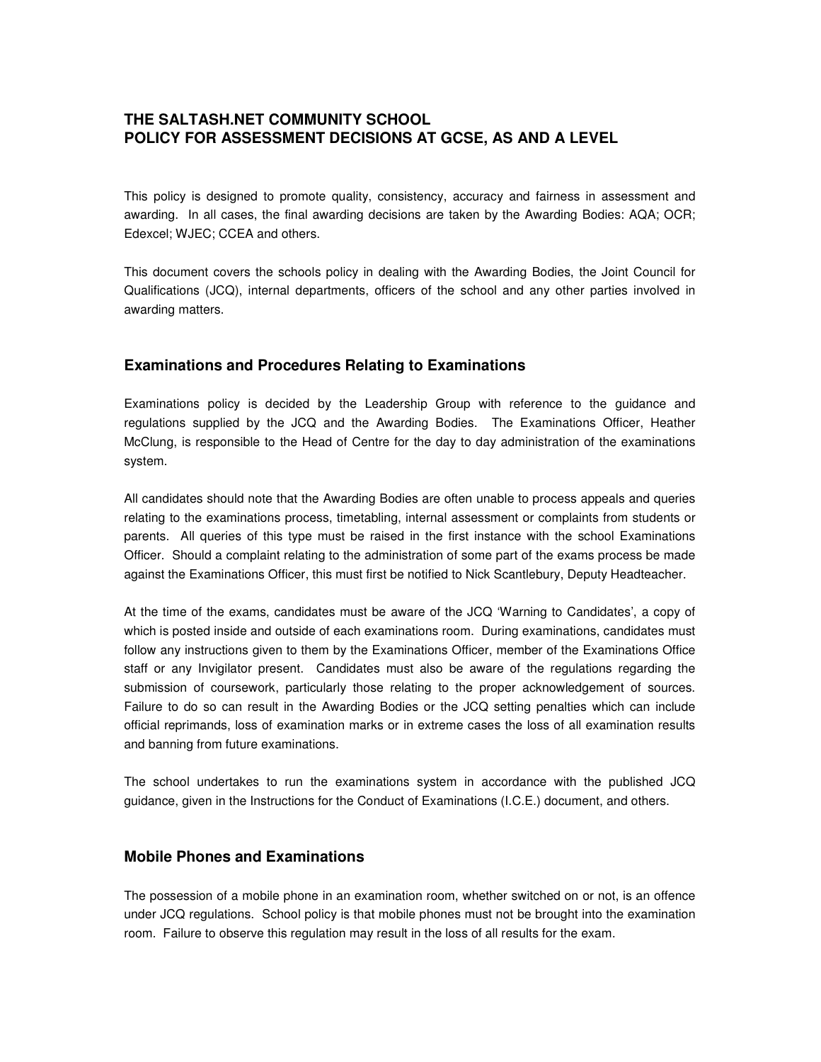# **THE SALTASH.NET COMMUNITY SCHOOL POLICY FOR ASSESSMENT DECISIONS AT GCSE, AS AND A LEVEL**

This policy is designed to promote quality, consistency, accuracy and fairness in assessment and awarding. In all cases, the final awarding decisions are taken by the Awarding Bodies: AQA; OCR; Edexcel; WJEC; CCEA and others.

This document covers the schools policy in dealing with the Awarding Bodies, the Joint Council for Qualifications (JCQ), internal departments, officers of the school and any other parties involved in awarding matters.

### **Examinations and Procedures Relating to Examinations**

Examinations policy is decided by the Leadership Group with reference to the guidance and regulations supplied by the JCQ and the Awarding Bodies. The Examinations Officer, Heather McClung, is responsible to the Head of Centre for the day to day administration of the examinations system.

All candidates should note that the Awarding Bodies are often unable to process appeals and queries relating to the examinations process, timetabling, internal assessment or complaints from students or parents. All queries of this type must be raised in the first instance with the school Examinations Officer. Should a complaint relating to the administration of some part of the exams process be made against the Examinations Officer, this must first be notified to Nick Scantlebury, Deputy Headteacher.

At the time of the exams, candidates must be aware of the JCQ 'Warning to Candidates', a copy of which is posted inside and outside of each examinations room. During examinations, candidates must follow any instructions given to them by the Examinations Officer, member of the Examinations Office staff or any Invigilator present. Candidates must also be aware of the regulations regarding the submission of coursework, particularly those relating to the proper acknowledgement of sources. Failure to do so can result in the Awarding Bodies or the JCQ setting penalties which can include official reprimands, loss of examination marks or in extreme cases the loss of all examination results and banning from future examinations.

The school undertakes to run the examinations system in accordance with the published JCQ guidance, given in the Instructions for the Conduct of Examinations (I.C.E.) document, and others.

#### **Mobile Phones and Examinations**

The possession of a mobile phone in an examination room, whether switched on or not, is an offence under JCQ regulations. School policy is that mobile phones must not be brought into the examination room. Failure to observe this regulation may result in the loss of all results for the exam.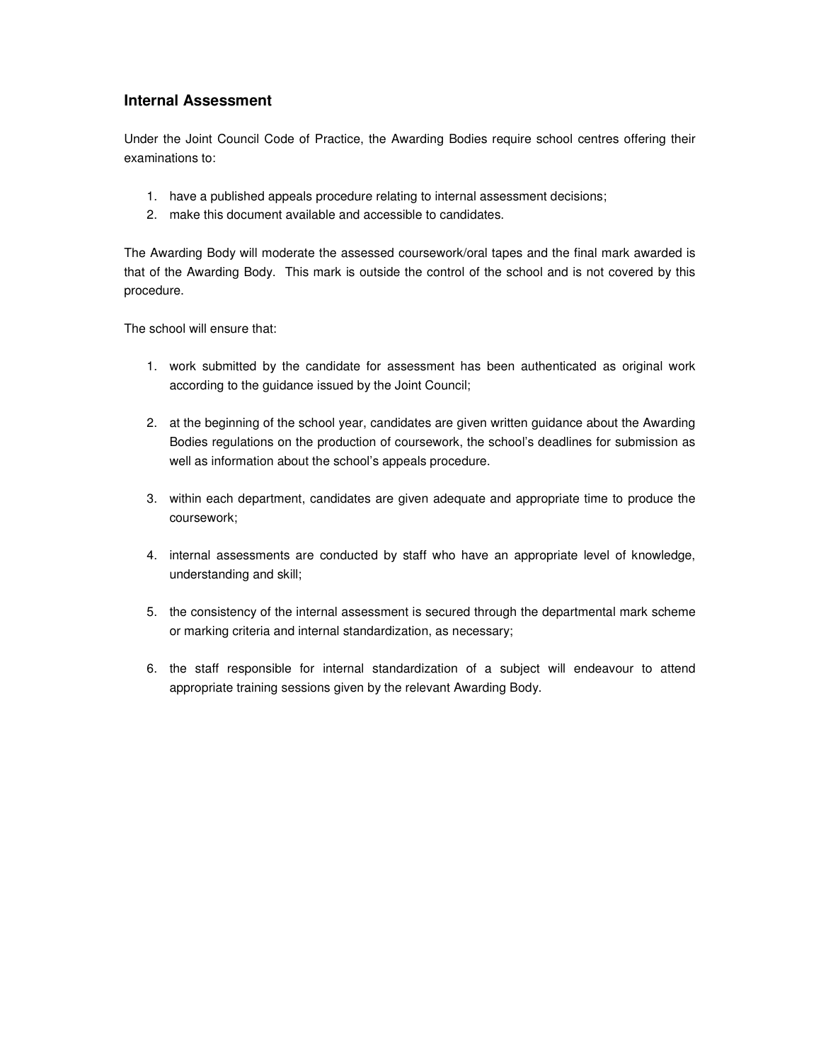# **Internal Assessment**

Under the Joint Council Code of Practice, the Awarding Bodies require school centres offering their examinations to:

- 1. have a published appeals procedure relating to internal assessment decisions;
- 2. make this document available and accessible to candidates.

The Awarding Body will moderate the assessed coursework/oral tapes and the final mark awarded is that of the Awarding Body. This mark is outside the control of the school and is not covered by this procedure.

The school will ensure that:

- 1. work submitted by the candidate for assessment has been authenticated as original work according to the guidance issued by the Joint Council;
- 2. at the beginning of the school year, candidates are given written guidance about the Awarding Bodies regulations on the production of coursework, the school's deadlines for submission as well as information about the school's appeals procedure.
- 3. within each department, candidates are given adequate and appropriate time to produce the coursework;
- 4. internal assessments are conducted by staff who have an appropriate level of knowledge, understanding and skill;
- 5. the consistency of the internal assessment is secured through the departmental mark scheme or marking criteria and internal standardization, as necessary;
- 6. the staff responsible for internal standardization of a subject will endeavour to attend appropriate training sessions given by the relevant Awarding Body.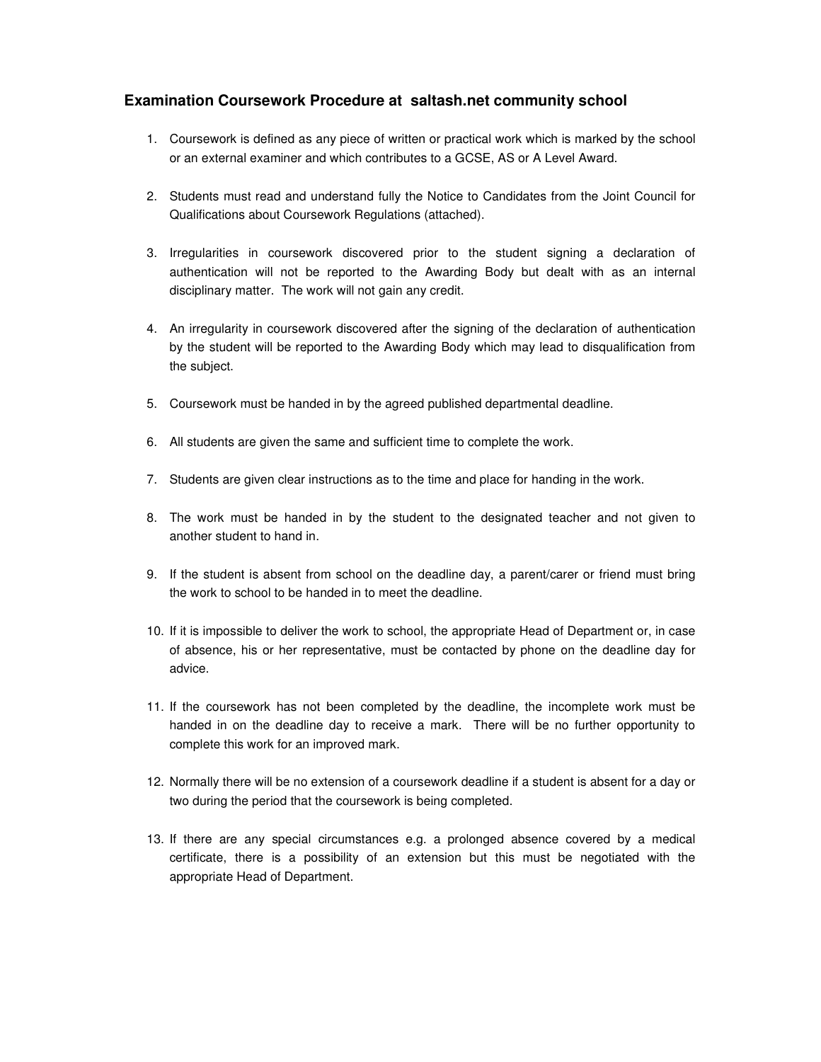### **Examination Coursework Procedure at saltash.net community school**

- 1. Coursework is defined as any piece of written or practical work which is marked by the school or an external examiner and which contributes to a GCSE, AS or A Level Award.
- 2. Students must read and understand fully the Notice to Candidates from the Joint Council for Qualifications about Coursework Regulations (attached).
- 3. Irregularities in coursework discovered prior to the student signing a declaration of authentication will not be reported to the Awarding Body but dealt with as an internal disciplinary matter. The work will not gain any credit.
- 4. An irregularity in coursework discovered after the signing of the declaration of authentication by the student will be reported to the Awarding Body which may lead to disqualification from the subject.
- 5. Coursework must be handed in by the agreed published departmental deadline.
- 6. All students are given the same and sufficient time to complete the work.
- 7. Students are given clear instructions as to the time and place for handing in the work.
- 8. The work must be handed in by the student to the designated teacher and not given to another student to hand in.
- 9. If the student is absent from school on the deadline day, a parent/carer or friend must bring the work to school to be handed in to meet the deadline.
- 10. If it is impossible to deliver the work to school, the appropriate Head of Department or, in case of absence, his or her representative, must be contacted by phone on the deadline day for advice.
- 11. If the coursework has not been completed by the deadline, the incomplete work must be handed in on the deadline day to receive a mark. There will be no further opportunity to complete this work for an improved mark.
- 12. Normally there will be no extension of a coursework deadline if a student is absent for a day or two during the period that the coursework is being completed.
- 13. If there are any special circumstances e.g. a prolonged absence covered by a medical certificate, there is a possibility of an extension but this must be negotiated with the appropriate Head of Department.